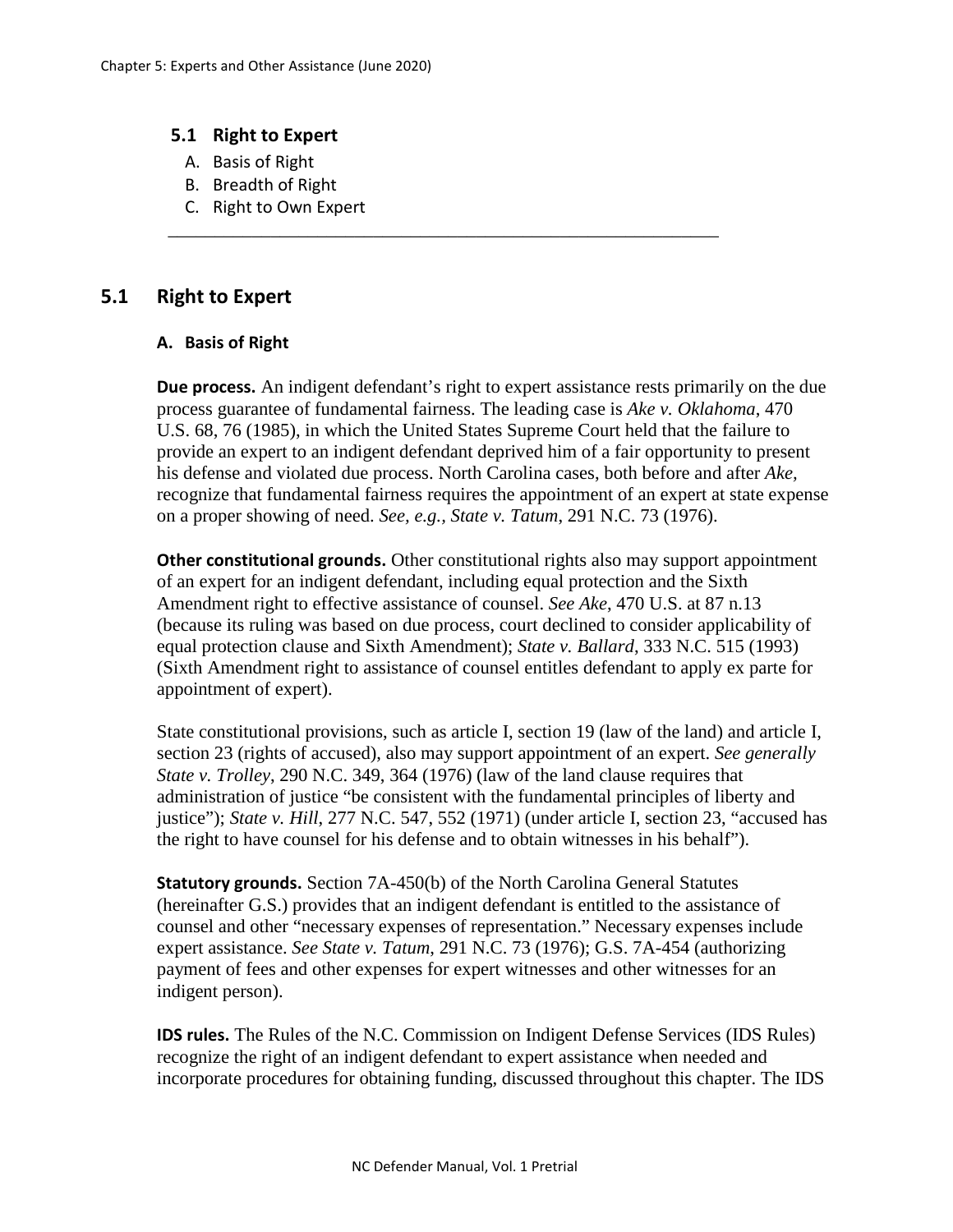## **5.1 Right to Expert**

- A. Basis of Right
- B. Breadth of Right
- C. Right to Own Expert

# **5.1 Right to Expert**

#### **A. Basis of Right**

**Due process.** An indigent defendant's right to expert assistance rests primarily on the due process guarantee of fundamental fairness. The leading case is *Ake v. Oklahoma*, 470 U.S. 68, 76 (1985), in which the United States Supreme Court held that the failure to provide an expert to an indigent defendant deprived him of a fair opportunity to present his defense and violated due process. North Carolina cases, both before and after *Ake,*  recognize that fundamental fairness requires the appointment of an expert at state expense on a proper showing of need. *See, e.g., State v. Tatum*, 291 N.C. 73 (1976).

\_\_\_\_\_\_\_\_\_\_\_\_\_\_\_\_\_\_\_\_\_\_\_\_\_\_\_\_\_\_\_\_\_\_\_\_\_\_\_\_\_\_\_\_\_\_\_\_\_\_\_\_\_\_\_\_\_\_\_

**Other constitutional grounds.** Other constitutional rights also may support appointment of an expert for an indigent defendant, including equal protection and the Sixth Amendment right to effective assistance of counsel. *See Ake*, 470 U.S. at 87 n.13 (because its ruling was based on due process, court declined to consider applicability of equal protection clause and Sixth Amendment); *State v. Ballard*, 333 N.C. 515 (1993) (Sixth Amendment right to assistance of counsel entitles defendant to apply ex parte for appointment of expert).

State constitutional provisions, such as article I, section 19 (law of the land) and article I, section 23 (rights of accused), also may support appointment of an expert. *See generally State v. Trolley*, 290 N.C. 349, 364 (1976) (law of the land clause requires that administration of justice "be consistent with the fundamental principles of liberty and justice"); *State v. Hill*, 277 N.C. 547, 552 (1971) (under article I, section 23, "accused has the right to have counsel for his defense and to obtain witnesses in his behalf").

**Statutory grounds.** Section 7A-450(b) of the North Carolina General Statutes (hereinafter G.S.) provides that an indigent defendant is entitled to the assistance of counsel and other "necessary expenses of representation." Necessary expenses include expert assistance. *See State v. Tatum*, 291 N.C. 73 (1976); G.S. 7A-454 (authorizing payment of fees and other expenses for expert witnesses and other witnesses for an indigent person).

**IDS rules.** The Rules of the N.C. Commission on Indigent Defense Services (IDS Rules) recognize the right of an indigent defendant to expert assistance when needed and incorporate procedures for obtaining funding, discussed throughout this chapter. The IDS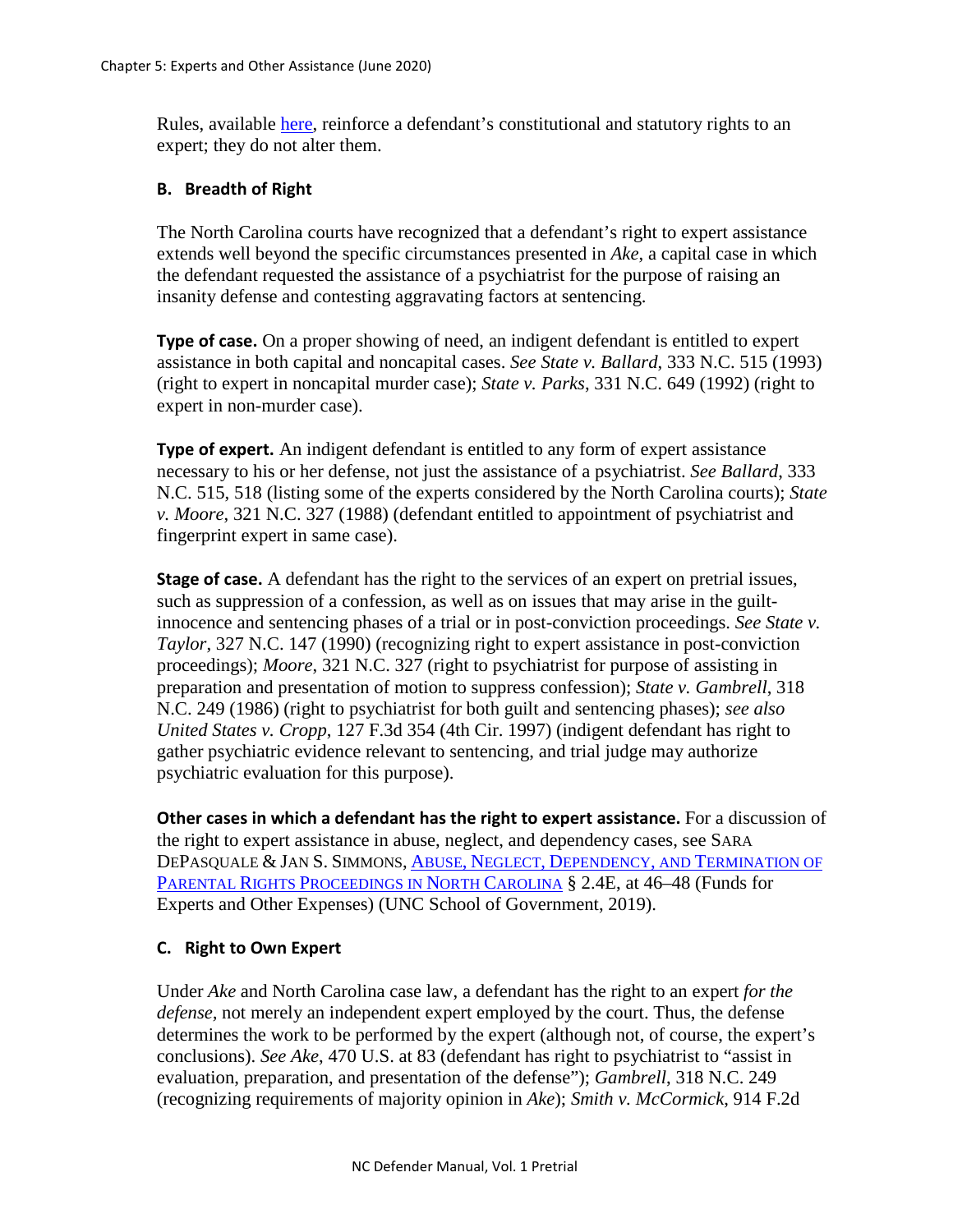Rules, available [here,](http://www.ncids.org/Attorney/IDSRules.html?c=Information%20for%20Counsel,%20IDS%20Rules) reinforce a defendant's constitutional and statutory rights to an expert; they do not alter them.

## **B. Breadth of Right**

The North Carolina courts have recognized that a defendant's right to expert assistance extends well beyond the specific circumstances presented in *Ake*, a capital case in which the defendant requested the assistance of a psychiatrist for the purpose of raising an insanity defense and contesting aggravating factors at sentencing.

**Type of case.** On a proper showing of need, an indigent defendant is entitled to expert assistance in both capital and noncapital cases. *See State v. Ballard*, 333 N.C. 515 (1993) (right to expert in noncapital murder case); *State v. Parks*, 331 N.C. 649 (1992) (right to expert in non-murder case).

**Type of expert.** An indigent defendant is entitled to any form of expert assistance necessary to his or her defense, not just the assistance of a psychiatrist. *See Ballard*, 333 N.C. 515, 518 (listing some of the experts considered by the North Carolina courts); *State v. Moore*, 321 N.C. 327 (1988) (defendant entitled to appointment of psychiatrist and fingerprint expert in same case).

**Stage of case.** A defendant has the right to the services of an expert on pretrial issues, such as suppression of a confession, as well as on issues that may arise in the guiltinnocence and sentencing phases of a trial or in post-conviction proceedings. *See State v. Taylor*, 327 N.C. 147 (1990) (recognizing right to expert assistance in post-conviction proceedings); *Moore*, 321 N.C. 327 (right to psychiatrist for purpose of assisting in preparation and presentation of motion to suppress confession); *State v. Gambrell*, 318 N.C. 249 (1986) (right to psychiatrist for both guilt and sentencing phases); *see also United States v. Cropp*, 127 F.3d 354 (4th Cir. 1997) (indigent defendant has right to gather psychiatric evidence relevant to sentencing, and trial judge may authorize psychiatric evaluation for this purpose).

**Other cases in which a defendant has the right to expert assistance.** For a discussion of the right to expert assistance in abuse, neglect, and dependency cases, see SARA DEPASQUALE & JAN S. SIMMONS, ABUSE, NEGLECT, DEPENDENCY, [AND TERMINATION OF](https://www.sog.unc.edu/resources/microsites/abuse-neglect-dependency-and-termination-parental-rights/chapter-2-key-people-definitions-and-concepts)  [PARENTAL RIGHTS PROCEEDINGS IN NORTH CAROLINA](https://www.sog.unc.edu/resources/microsites/abuse-neglect-dependency-and-termination-parental-rights/chapter-2-key-people-definitions-and-concepts) § 2.4E, at 46–48 (Funds for Experts and Other Expenses) (UNC School of Government, 2019).

## **C. Right to Own Expert**

Under *Ake* and North Carolina case law, a defendant has the right to an expert *for the defense,* not merely an independent expert employed by the court. Thus, the defense determines the work to be performed by the expert (although not, of course, the expert's conclusions). *See Ake*, 470 U.S. at 83 (defendant has right to psychiatrist to "assist in evaluation, preparation, and presentation of the defense"); *Gambrell*, 318 N.C. 249 (recognizing requirements of majority opinion in *Ake*); *Smith v. McCormick*, 914 F.2d